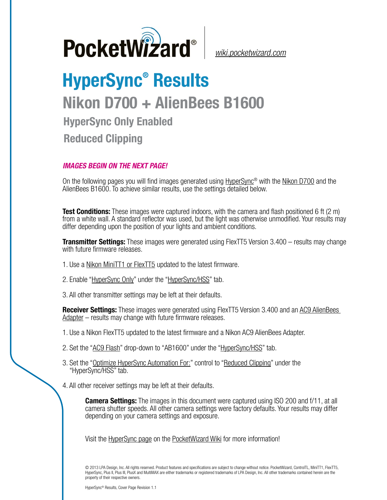

*[wiki.pocketwizard.com](http://wiki.pocketwizard.com/)*

## **HyperSync® Results Nikon D700 + AlienBees B1600 HyperSync Only Enabled Reduced Clipping**

## *IMAGES BEGIN ON THE NEXT PAGE!*

On the following pages you will find images generated using [HyperSync](http://wiki.pocketwizard.com/index.php?title=Hypersync)® with the Nikon D700 and the AlienBees B1600. To achieve similar results, use the settings detailed below.

**Test Conditions:** These images were captured indoors, with the camera and flash positioned 6 ft (2 m) from a white wall. A standard reflector was used, but the light was otherwise unmodified. Your results may differ depending upon the position of your lights and ambient conditions.

**Transmitter Settings:** These images were generated using FlexTT5 Version 3.400 – results may change with future firmware releases.

- 1. Use a [Nikon MiniTT1 or FlexTT5](http://wiki.pocketwizard.com/index.php?title=MiniTT1_and_FlexTT5) updated to the latest firmware.
- 2. Enable ["HyperSync Only"](http://wiki.pocketwizard.com/index.php?title=Hypersync_hss_tab#HyperSync_Only_.28Disable_HSS.2FFP.29) under the "[HyperSync/HSS"](http://wiki.pocketwizard.com/index.php?title=Hypersync_hss_tab) tab.
- 3. All other transmitter settings may be left at their defaults.

**Receiver Settings:** These images were generated using FlexTT5 Version 3.400 and an [AC9 AlienBees](http://wiki.pocketwizard.com/index.php?title=AC9_AlienBees_Adapter)  [Adapter](http://wiki.pocketwizard.com/index.php?title=AC9_AlienBees_Adapter) – results may change with future firmware releases.

- 1. Use a Nikon [FlexTT5](http://wiki.pocketwizard.com/index.php?title=Canon_MiniTT1_and_FlexTT5) updated to the latest firmware and a Nikon AC9 AlienBees Adapter.
- 2. Set the "[AC9 Flash](http://wiki.pocketwizard.com/index.php?title=HyperSync/HSS_Tab#AC9_Flash)" drop-down to "AB1600" under the ["HyperSync/HSS](http://wiki.pocketwizard.com/index.php?title=Hypersync_hss_tab)" tab.
- 3. Set the "[Optimize HyperSync Automation For:](http://wiki.pocketwizard.com/index.php?title=HyperSync/HSS_Tab#Optimize_HyperSync_Automation_For:)" control to ["Reduced Clipping"](http://wiki.pocketwizard.com/index.php?title=HyperSync/HSS_Tab#Optimize_HyperSync_Automation_For:) under the "HyperSync/HSS" tab.
- 4. All other receiver settings may be left at their defaults.

**Camera Settings:** The images in this document were captured using ISO 200 and f/11, at all camera shutter speeds. All other camera settings were factory defaults. Your results may differ depending on your camera settings and exposure.

Visit the [HyperSync page](http://wiki.pocketwizard.com/index.php?title=Hypersync) on the [PocketWizard Wiki](http://wiki.pocketwizard.com/) for more information!

© 2013 LPA Design, Inc. All rights reserved. Product features and specifications are subject to change without notice. PocketWizard, ControlTL, MiniTT1, FlexTT5, HyperSync, Plus II, Plus III, PlusX and MultiMAX are either trademarks or registered trademarks of LPA Design, Inc. All other trademarks contained herein are the property of their respective owners.

HyperSync® Results, Cover Page Revision 1.1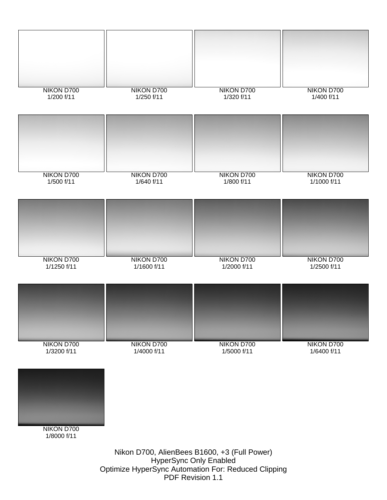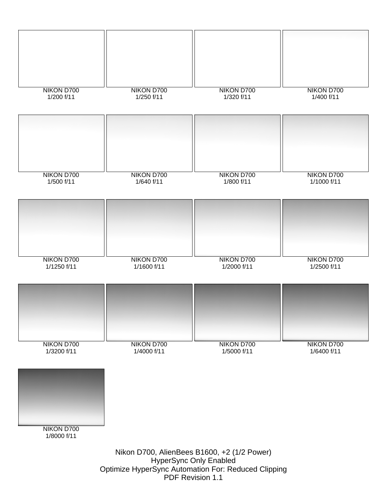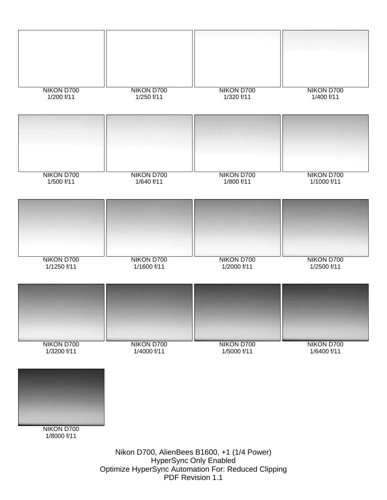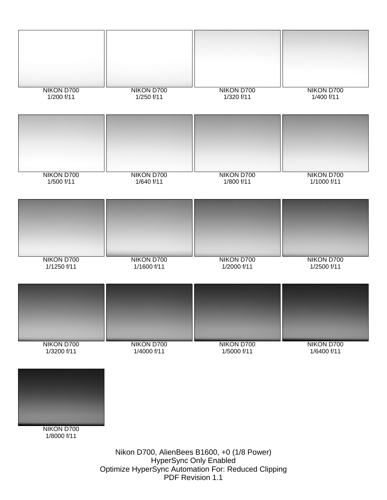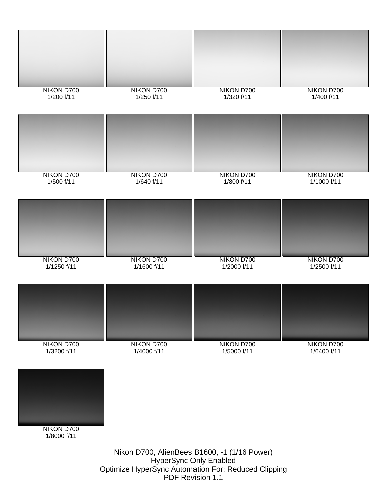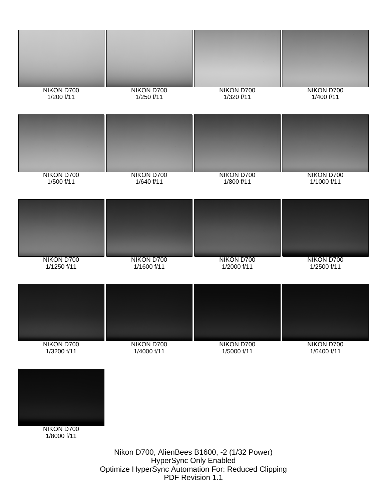